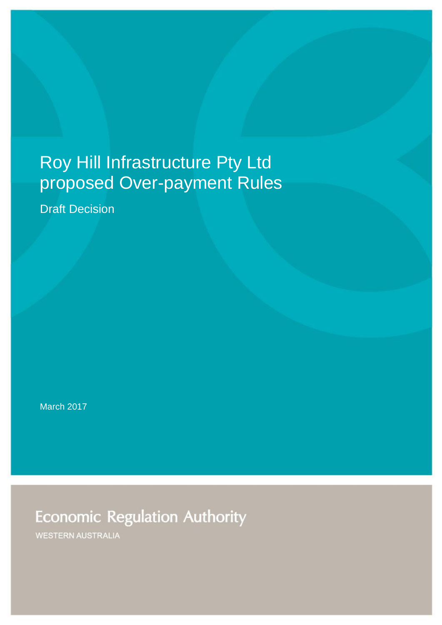# Roy Hill Infrastructure Pty Ltd proposed Over-payment Rules

Draft Decision

March 2017

**Economic Regulation Authority** 

**WESTERN AUSTRALIA**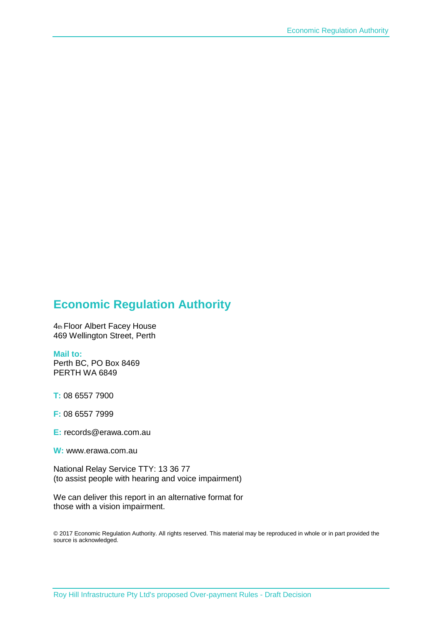### **Economic Regulation Authority**

4th Floor Albert Facey House 469 Wellington Street, Perth

#### **Mail to:**

Perth BC, PO Box 8469 PERTH WA 6849

**T:** 08 6557 7900

**F:** 08 6557 7999

**E:** records@erawa.com.au

**W:** www.erawa.com.au

National Relay Service TTY: 13 36 77 (to assist people with hearing and voice impairment)

We can deliver this report in an alternative format for those with a vision impairment.

© 2017 Economic Regulation Authority. All rights reserved. This material may be reproduced in whole or in part provided the source is acknowledged.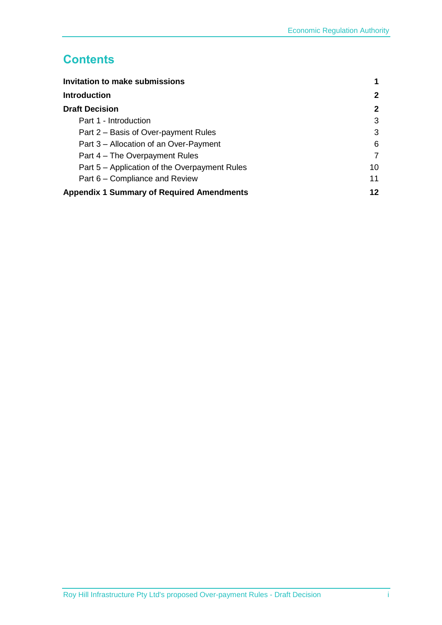## **Contents**

| Invitation to make submissions                   |    |
|--------------------------------------------------|----|
| <b>Introduction</b>                              | 2  |
| <b>Draft Decision</b>                            | 2  |
| Part 1 - Introduction                            | 3  |
| Part 2 – Basis of Over-payment Rules             | 3  |
| Part 3 – Allocation of an Over-Payment           | 6  |
| Part 4 – The Overpayment Rules                   |    |
| Part 5 – Application of the Overpayment Rules    | 10 |
| Part 6 – Compliance and Review                   | 11 |
| <b>Appendix 1 Summary of Required Amendments</b> | 12 |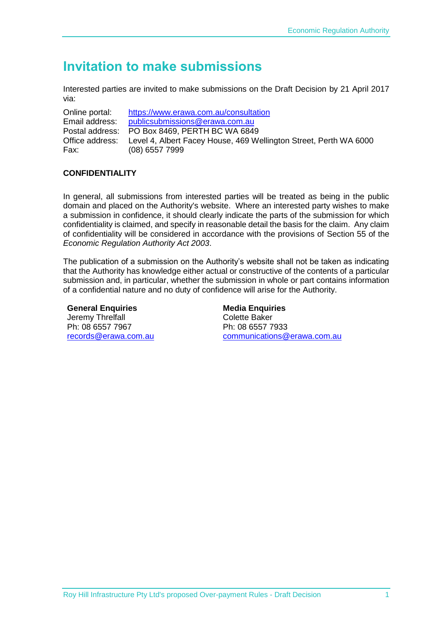## <span id="page-3-0"></span>**Invitation to make submissions**

Interested parties are invited to make submissions on the Draft Decision by 21 April 2017 via:

Online portal: <https://www.erawa.com.au/consultation> Email address: [publicsubmissions@erawa.com.au](mailto:publicsubmissions@erawa.com.au) Postal address: PO Box 8469, PERTH BC WA 6849 Office address: Level 4, Albert Facey House, 469 Wellington Street, Perth WA 6000 Fax: (08) 6557 7999

#### **CONFIDENTIALITY**

In general, all submissions from interested parties will be treated as being in the public domain and placed on the Authority's website. Where an interested party wishes to make a submission in confidence, it should clearly indicate the parts of the submission for which confidentiality is claimed, and specify in reasonable detail the basis for the claim. Any claim of confidentiality will be considered in accordance with the provisions of Section 55 of the *Economic Regulation Authority Act 2003*.

The publication of a submission on the Authority's website shall not be taken as indicating that the Authority has knowledge either actual or constructive of the contents of a particular submission and, in particular, whether the submission in whole or part contains information of a confidential nature and no duty of confidence will arise for the Authority.

**General Enquiries**  Jeremy Threlfall Ph: 08 6557 7967 [records@erawa.com.au](mailto:records@erawa.com.au)

**Media Enquiries**  Colette Baker Ph: 08 6557 7933 [communications@erawa.com.au](mailto:communications@erawa.com.au)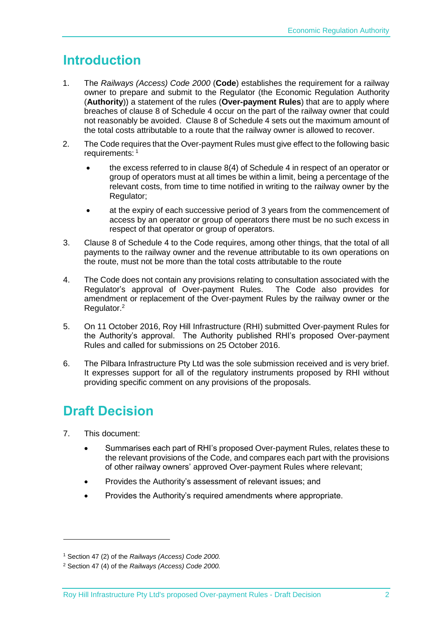## <span id="page-4-0"></span>**Introduction**

- 1. The *Railways (Access) Code 2000* (**Code**) establishes the requirement for a railway owner to prepare and submit to the Regulator (the Economic Regulation Authority (**Authority**)) a statement of the rules (**Over-payment Rules**) that are to apply where breaches of clause 8 of Schedule 4 occur on the part of the railway owner that could not reasonably be avoided. Clause 8 of Schedule 4 sets out the maximum amount of the total costs attributable to a route that the railway owner is allowed to recover.
- 2. The Code requires that the Over-payment Rules must give effect to the following basic requirements: <sup>1</sup>
	- the excess referred to in clause 8(4) of Schedule 4 in respect of an operator or group of operators must at all times be within a limit, being a percentage of the relevant costs, from time to time notified in writing to the railway owner by the Regulator;
	- at the expiry of each successive period of 3 years from the commencement of access by an operator or group of operators there must be no such excess in respect of that operator or group of operators.
- 3. Clause 8 of Schedule 4 to the Code requires, among other things, that the total of all payments to the railway owner and the revenue attributable to its own operations on the route, must not be more than the total costs attributable to the route
- 4. The Code does not contain any provisions relating to consultation associated with the Regulator's approval of Over-payment Rules. The Code also provides for amendment or replacement of the Over-payment Rules by the railway owner or the Regulator.<sup>2</sup>
- 5. On 11 October 2016, Roy Hill Infrastructure (RHI) submitted Over-payment Rules for the Authority's approval. The Authority published RHI's proposed Over-payment Rules and called for submissions on 25 October 2016.
- 6. The Pilbara Infrastructure Pty Ltd was the sole submission received and is very brief. It expresses support for all of the regulatory instruments proposed by RHI without providing specific comment on any provisions of the proposals.

## <span id="page-4-1"></span>**Draft Decision**

7. This document:

-

- Summarises each part of RHI's proposed Over-payment Rules, relates these to the relevant provisions of the Code, and compares each part with the provisions of other railway owners' approved Over-payment Rules where relevant;
- Provides the Authority's assessment of relevant issues; and
- Provides the Authority's required amendments where appropriate.

<sup>1</sup> Section 47 (2) of the *Railways (Access) Code 2000.*

<sup>2</sup> Section 47 (4) of the *Railways (Access) Code 2000.*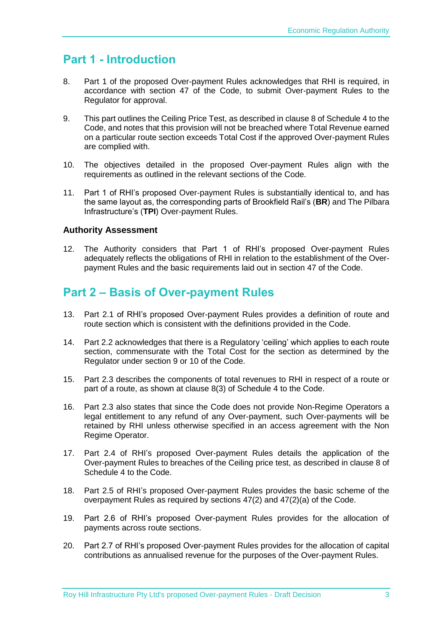## <span id="page-5-0"></span>**Part 1 - Introduction**

- 8. Part 1 of the proposed Over-payment Rules acknowledges that RHI is required, in accordance with section 47 of the Code, to submit Over-payment Rules to the Regulator for approval.
- 9. This part outlines the Ceiling Price Test, as described in clause 8 of Schedule 4 to the Code, and notes that this provision will not be breached where Total Revenue earned on a particular route section exceeds Total Cost if the approved Over-payment Rules are complied with.
- 10. The objectives detailed in the proposed Over-payment Rules align with the requirements as outlined in the relevant sections of the Code.
- 11. Part 1 of RHI's proposed Over-payment Rules is substantially identical to, and has the same layout as, the corresponding parts of Brookfield Rail's (**BR**) and The Pilbara Infrastructure's (**TPI**) Over-payment Rules.

#### **Authority Assessment**

12. The Authority considers that Part 1 of RHI's proposed Over-payment Rules adequately reflects the obligations of RHI in relation to the establishment of the Overpayment Rules and the basic requirements laid out in section 47 of the Code.

### <span id="page-5-1"></span>**Part 2 – Basis of Over-payment Rules**

- 13. Part 2.1 of RHI's proposed Over-payment Rules provides a definition of route and route section which is consistent with the definitions provided in the Code.
- 14. Part 2.2 acknowledges that there is a Regulatory 'ceiling' which applies to each route section, commensurate with the Total Cost for the section as determined by the Regulator under section 9 or 10 of the Code.
- 15. Part 2.3 describes the components of total revenues to RHI in respect of a route or part of a route, as shown at clause 8(3) of Schedule 4 to the Code.
- 16. Part 2.3 also states that since the Code does not provide Non-Regime Operators a legal entitlement to any refund of any Over-payment, such Over-payments will be retained by RHI unless otherwise specified in an access agreement with the Non Regime Operator.
- 17. Part 2.4 of RHI's proposed Over-payment Rules details the application of the Over-payment Rules to breaches of the Ceiling price test, as described in clause 8 of Schedule 4 to the Code.
- 18. Part 2.5 of RHI's proposed Over-payment Rules provides the basic scheme of the overpayment Rules as required by sections 47(2) and 47(2)(a) of the Code.
- 19. Part 2.6 of RHI's proposed Over-payment Rules provides for the allocation of payments across route sections.
- 20. Part 2.7 of RHI's proposed Over-payment Rules provides for the allocation of capital contributions as annualised revenue for the purposes of the Over-payment Rules.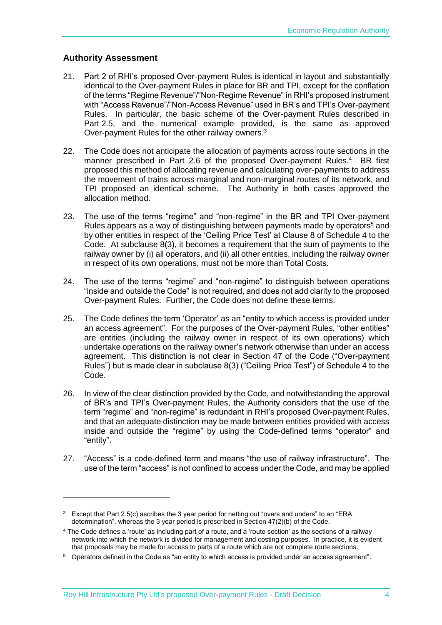#### **Authority Assessment**

1

- 21. Part 2 of RHI's proposed Over-payment Rules is identical in layout and substantially identical to the Over-payment Rules in place for BR and TPI, except for the conflation of the terms "Regime Revenue"/"Non-Regime Revenue" in RHI's proposed instrument with "Access Revenue"/"Non-Access Revenue" used in BR's and TPI's Over-payment Rules. In particular, the basic scheme of the Over-payment Rules described in Part 2.5, and the numerical example provided, is the same as approved Over-payment Rules for the other railway owners. $3$
- 22. The Code does not anticipate the allocation of payments across route sections in the manner prescribed in Part 2.6 of the proposed Over-payment Rules.<sup>4</sup> BR first proposed this method of allocating revenue and calculating over-payments to address the movement of trains across marginal and non-marginal routes of its network, and TPI proposed an identical scheme. The Authority in both cases approved the allocation method.
- 23. The use of the terms "regime" and "non-regime" in the BR and TPI Over-payment Rules appears as a way of distinguishing between payments made by operators<sup>5</sup> and by other entities in respect of the 'Ceiling Price Test' at Clause 8 of Schedule 4 to the Code. At subclause 8(3), it becomes a requirement that the sum of payments to the railway owner by (i) all operators, and (ii) all other entities, including the railway owner in respect of its own operations, must not be more than Total Costs.
- 24. The use of the terms "regime" and "non-regime" to distinguish between operations "inside and outside the Code" is not required, and does not add clarity to the proposed Over-payment Rules. Further, the Code does not define these terms.
- 25. The Code defines the term 'Operator' as an "entity to which access is provided under an access agreement". For the purposes of the Over-payment Rules, "other entities" are entities (including the railway owner in respect of its own operations) which undertake operations on the railway owner's network otherwise than under an access agreement. This distinction is not clear in Section 47 of the Code ("Over-payment Rules") but is made clear in subclause 8(3) ("Ceiling Price Test") of Schedule 4 to the Code.
- 26. In view of the clear distinction provided by the Code, and notwithstanding the approval of BR's and TPI's Over-payment Rules, the Authority considers that the use of the term "regime" and "non-regime" is redundant in RHI's proposed Over-payment Rules, and that an adequate distinction may be made between entities provided with access inside and outside the "regime" by using the Code-defined terms "operator" and "entity".
- 27. "Access" is a code-defined term and means "the use of railway infrastructure". The use of the term "access" is not confined to access under the Code, and may be applied

<sup>&</sup>lt;sup>3</sup> Except that Part 2.5(c) ascribes the 3 year period for netting out "overs and unders" to an "ERA determination", whereas the 3 year period is prescribed in Section 47(2)(b) of the Code.

<sup>4</sup> The Code defines a 'route' as including part of a route, and a 'route section' as the sections of a railway network into which the network is divided for management and costing purposes. In practice, it is evident that proposals may be made for access to parts of a route which are not complete route sections.

<sup>5</sup> Operators defined in the Code as "an entity to which access is provided under an access agreement".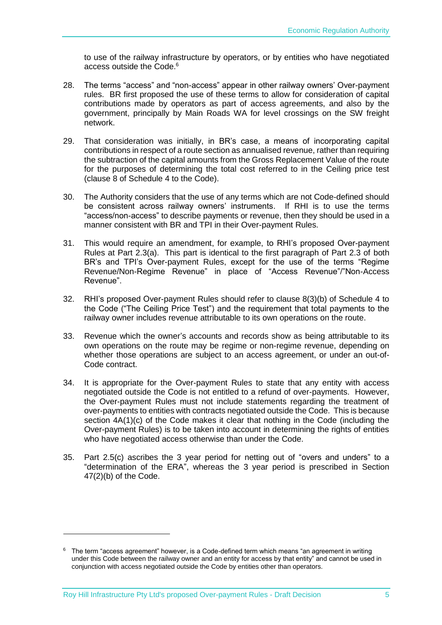to use of the railway infrastructure by operators, or by entities who have negotiated access outside the Code. 6

- 28. The terms "access" and "non-access" appear in other railway owners' Over-payment rules. BR first proposed the use of these terms to allow for consideration of capital contributions made by operators as part of access agreements, and also by the government, principally by Main Roads WA for level crossings on the SW freight network.
- 29. That consideration was initially, in BR's case, a means of incorporating capital contributions in respect of a route section as annualised revenue, rather than requiring the subtraction of the capital amounts from the Gross Replacement Value of the route for the purposes of determining the total cost referred to in the Ceiling price test (clause 8 of Schedule 4 to the Code).
- 30. The Authority considers that the use of any terms which are not Code-defined should be consistent across railway owners' instruments. If RHI is to use the terms "access/non-access" to describe payments or revenue, then they should be used in a manner consistent with BR and TPI in their Over-payment Rules.
- 31. This would require an amendment, for example, to RHI's proposed Over-payment Rules at Part 2.3(a). This part is identical to the first paragraph of Part 2.3 of both BR's and TPI's Over-payment Rules, except for the use of the terms "Regime Revenue/Non-Regime Revenue" in place of "Access Revenue"/"Non-Access Revenue".
- 32. RHI's proposed Over-payment Rules should refer to clause 8(3)(b) of Schedule 4 to the Code ("The Ceiling Price Test") and the requirement that total payments to the railway owner includes revenue attributable to its own operations on the route.
- 33. Revenue which the owner's accounts and records show as being attributable to its own operations on the route may be regime or non-regime revenue, depending on whether those operations are subject to an access agreement, or under an out-of-Code contract.
- 34. It is appropriate for the Over-payment Rules to state that any entity with access negotiated outside the Code is not entitled to a refund of over-payments. However, the Over-payment Rules must not include statements regarding the treatment of over-payments to entities with contracts negotiated outside the Code. This is because section 4A(1)(c) of the Code makes it clear that nothing in the Code (including the Over-payment Rules) is to be taken into account in determining the rights of entities who have negotiated access otherwise than under the Code.
- 35. Part 2.5(c) ascribes the 3 year period for netting out of "overs and unders" to a "determination of the ERA", whereas the 3 year period is prescribed in Section 47(2)(b) of the Code.

-

 $6$  The term "access agreement" however, is a Code-defined term which means "an agreement in writing under this Code between the railway owner and an entity for access by that entity" and cannot be used in conjunction with access negotiated outside the Code by entities other than operators.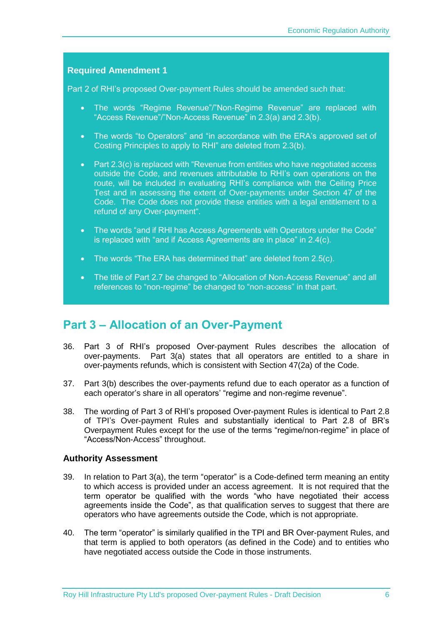<span id="page-8-2"></span><span id="page-8-1"></span>Part 2 of RHI's proposed Over-payment Rules should be amended such that:

- <span id="page-8-3"></span> The words "Regime Revenue"/"Non-Regime Revenue" are replaced with "Access Revenue"/"Non-Access Revenue" in 2.3(a) and 2.3(b).
- <span id="page-8-4"></span> The words "to Operators" and "in accordance with the ERA's approved set of Costing Principles to apply to RHI" are deleted from 2.3(b).
- <span id="page-8-5"></span>• Part 2.3(c) is replaced with "Revenue from entities who have negotiated access outside the Code, and revenues attributable to RHI's own operations on the route, will be included in evaluating RHI's compliance with the Ceiling Price Test and in assessing the extent of Over-payments under Section 47 of the Code. The Code does not provide these entities with a legal entitlement to a refund of any Over-payment".
- <span id="page-8-6"></span> The words "and if RHI has Access Agreements with Operators under the Code" is replaced with "and if Access Agreements are in place" in 2.4(c).
- <span id="page-8-7"></span>• The words "The ERA has determined that" are deleted from 2.5(c).
- <span id="page-8-8"></span>• The title of Part 2.7 be changed to "Allocation of Non-Access Revenue" and all references to "non-regime" be changed to "non-access" in that part.

### <span id="page-8-0"></span>**Part 3 – Allocation of an Over-Payment**

- 36. Part 3 of RHI's proposed Over-payment Rules describes the allocation of over-payments. Part 3(a) states that all operators are entitled to a share in over-payments refunds, which is consistent with Section 47(2a) of the Code.
- 37. Part 3(b) describes the over-payments refund due to each operator as a function of each operator's share in all operators' "regime and non-regime revenue".
- 38. The wording of Part 3 of RHI's proposed Over-payment Rules is identical to Part 2.8 of TPI's Over-payment Rules and substantially identical to Part 2.8 of BR's Overpayment Rules except for the use of the terms "regime/non-regime" in place of "Access/Non-Access" throughout.

#### **Authority Assessment**

- 39. In relation to Part 3(a), the term "operator" is a Code-defined term meaning an entity to which access is provided under an access agreement. It is not required that the term operator be qualified with the words "who have negotiated their access agreements inside the Code", as that qualification serves to suggest that there are operators who have agreements outside the Code, which is not appropriate.
- 40. The term "operator" is similarly qualified in the TPI and BR Over-payment Rules, and that term is applied to both operators (as defined in the Code) and to entities who have negotiated access outside the Code in those instruments.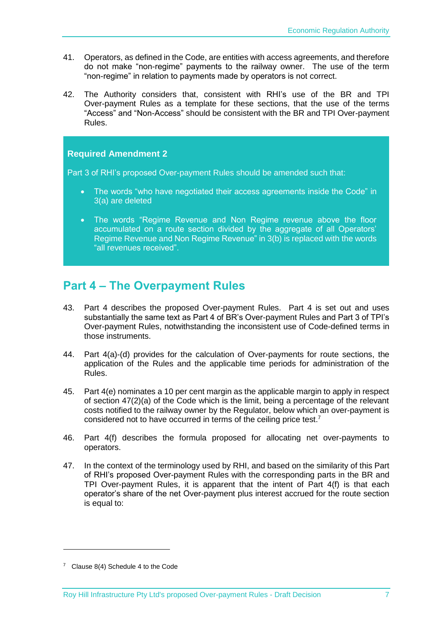- 41. Operators, as defined in the Code, are entities with access agreements, and therefore do not make "non-regime" payments to the railway owner. The use of the term "non-regime" in relation to payments made by operators is not correct.
- 42. The Authority considers that, consistent with RHI's use of the BR and TPI Over-payment Rules as a template for these sections, that the use of the terms "Access" and "Non-Access" should be consistent with the BR and TPI Over-payment Rules.

<span id="page-9-3"></span><span id="page-9-2"></span>Part 3 of RHI's proposed Over-payment Rules should be amended such that:

- <span id="page-9-4"></span>• The words "who have negotiated their access agreements inside the Code" in 3(a) are deleted
- <span id="page-9-5"></span>• The words "Regime Revenue and Non Regime revenue above the floor accumulated on a route section divided by the aggregate of all Operators' Regime Revenue and Non Regime Revenue" in 3(b) is replaced with the words "all revenues received".

### <span id="page-9-0"></span>**Part 4 – The Overpayment Rules**

- 43. Part 4 describes the proposed Over-payment Rules. Part 4 is set out and uses substantially the same text as Part 4 of BR's Over-payment Rules and Part 3 of TPI's Over-payment Rules, notwithstanding the inconsistent use of Code-defined terms in those instruments.
- 44. Part 4(a)-(d) provides for the calculation of Over-payments for route sections, the application of the Rules and the applicable time periods for administration of the Rules.
- 45. Part 4(e) nominates a 10 per cent margin as the applicable margin to apply in respect of section 47(2)(a) of the Code which is the limit, being a percentage of the relevant costs notified to the railway owner by the Regulator, below which an over-payment is considered not to have occurred in terms of the ceiling price test. $7$
- 46. Part 4(f) describes the formula proposed for allocating net over-payments to operators.
- <span id="page-9-1"></span>47. In the context of the terminology used by RHI, and based on the similarity of this Part of RHI's proposed Over-payment Rules with the corresponding parts in the BR and TPI Over-payment Rules, it is apparent that the intent of Part 4(f) is that each operator's share of the net Over-payment plus interest accrued for the route section is equal to:

1

<sup>&</sup>lt;sup>7</sup> Clause 8(4) Schedule 4 to the Code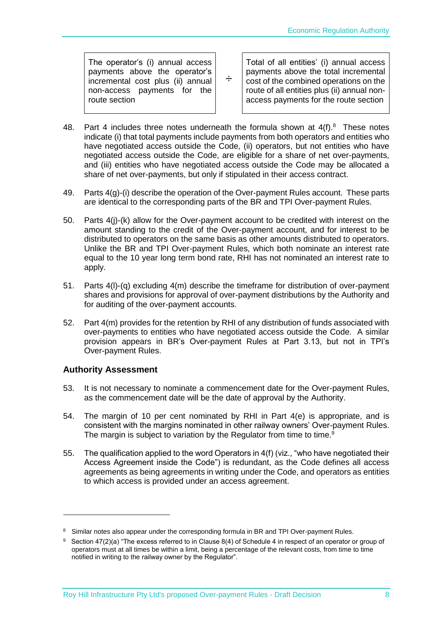The operator's (i) annual access payments above the operator's incremental cost plus (ii) annual non-access payments for the route section

÷ Total of all entities' (i) annual access payments above the total incremental cost of the combined operations on the route of all entities plus (ii) annual nonaccess payments for the route section

- 48. Part 4 includes three notes underneath the formula shown at  $4(f).$ <sup>8</sup> These notes indicate (i) that total payments include payments from both operators and entities who have negotiated access outside the Code, (ii) operators, but not entities who have negotiated access outside the Code, are eligible for a share of net over-payments, and (iii) entities who have negotiated access outside the Code may be allocated a share of net over-payments, but only if stipulated in their access contract.
- 49. Parts  $4(q)$ -(i) describe the operation of the Over-payment Rules account. These parts are identical to the corresponding parts of the BR and TPI Over-payment Rules.
- 50. Parts 4(j)-(k) allow for the Over-payment account to be credited with interest on the amount standing to the credit of the Over-payment account, and for interest to be distributed to operators on the same basis as other amounts distributed to operators. Unlike the BR and TPI Over-payment Rules, which both nominate an interest rate equal to the 10 year long term bond rate, RHI has not nominated an interest rate to apply.
- 51. Parts 4(l)-(q) excluding 4(m) describe the timeframe for distribution of over-payment shares and provisions for approval of over-payment distributions by the Authority and for auditing of the over-payment accounts.
- 52. Part 4(m) provides for the retention by RHI of any distribution of funds associated with over-payments to entities who have negotiated access outside the Code. A similar provision appears in BR's Over-payment Rules at Part 3.13, but not in TPI's Over-payment Rules.

#### **Authority Assessment**

-

- 53. It is not necessary to nominate a commencement date for the Over-payment Rules, as the commencement date will be the date of approval by the Authority.
- 54. The margin of 10 per cent nominated by RHI in Part 4(e) is appropriate, and is consistent with the margins nominated in other railway owners' Over-payment Rules. The margin is subject to variation by the Regulator from time to time.<sup>9</sup>
- 55. The qualification applied to the word Operators in 4(f) (viz., "who have negotiated their Access Agreement inside the Code") is redundant, as the Code defines all access agreements as being agreements in writing under the Code, and operators as entities to which access is provided under an access agreement.

<sup>&</sup>lt;sup>8</sup> Similar notes also appear under the corresponding formula in BR and TPI Over-payment Rules.

<sup>&</sup>lt;sup>9</sup> Section 47(2)(a) "The excess referred to in Clause 8(4) of Schedule 4 in respect of an operator or group of operators must at all times be within a limit, being a percentage of the relevant costs, from time to time notified in writing to the railway owner by the Regulator".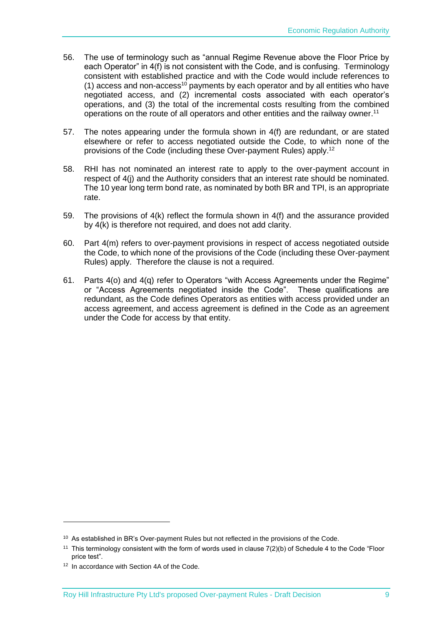- 56. The use of terminology such as "annual Regime Revenue above the Floor Price by each Operator" in 4(f) is not consistent with the Code, and is confusing. Terminology consistent with established practice and with the Code would include references to (1) access and non-access<sup>10</sup> payments by each operator and by all entities who have negotiated access, and (2) incremental costs associated with each operator's operations, and (3) the total of the incremental costs resulting from the combined operations on the route of all operators and other entities and the railway owner.<sup>11</sup>
- 57. The notes appearing under the formula shown in 4(f) are redundant, or are stated elsewhere or refer to access negotiated outside the Code, to which none of the provisions of the Code (including these Over-payment Rules) apply.<sup>12</sup>
- 58. RHI has not nominated an interest rate to apply to the over-payment account in respect of 4(j) and the Authority considers that an interest rate should be nominated. The 10 year long term bond rate, as nominated by both BR and TPI, is an appropriate rate.
- 59. The provisions of 4(k) reflect the formula shown in 4(f) and the assurance provided by 4(k) is therefore not required, and does not add clarity.
- 60. Part 4(m) refers to over-payment provisions in respect of access negotiated outside the Code, to which none of the provisions of the Code (including these Over-payment Rules) apply. Therefore the clause is not a required.
- 61. Parts 4(o) and 4(q) refer to Operators "with Access Agreements under the Regime" or "Access Agreements negotiated inside the Code". These qualifications are redundant, as the Code defines Operators as entities with access provided under an access agreement, and access agreement is defined in the Code as an agreement under the Code for access by that entity.

1

<sup>&</sup>lt;sup>10</sup> As established in BR's Over-payment Rules but not reflected in the provisions of the Code.

<sup>11</sup> This terminology consistent with the form of words used in clause 7(2)(b) of Schedule 4 to the Code "Floor price test".

<sup>&</sup>lt;sup>12</sup> In accordance with Section 4A of the Code.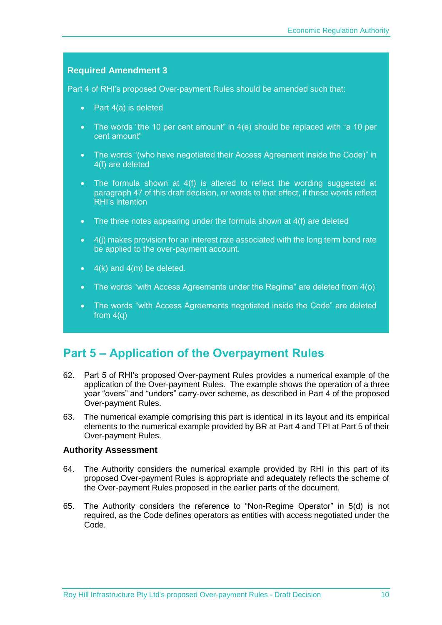<span id="page-12-2"></span><span id="page-12-1"></span>Part 4 of RHI's proposed Over-payment Rules should be amended such that:

- <span id="page-12-3"></span>• Part 4(a) is deleted
- <span id="page-12-4"></span>• The words "the 10 per cent amount" in 4(e) should be replaced with "a 10 per cent amount"
- <span id="page-12-5"></span> The words "(who have negotiated their Access Agreement inside the Code)" in 4(f) are deleted
- <span id="page-12-6"></span>• The formula shown at 4(f) is altered to reflect the wording suggested at paragrap[h 47](#page-9-1) of this draft decision, or words to that effect, if these words reflect RHI's intention
- <span id="page-12-7"></span>• The three notes appearing under the formula shown at 4(f) are deleted
- <span id="page-12-8"></span> 4(j) makes provision for an interest rate associated with the long term bond rate be applied to the over-payment account.
- <span id="page-12-9"></span> $\bullet$  4(k) and 4(m) be deleted.
- <span id="page-12-10"></span>The words "with Access Agreements under the Regime" are deleted from 4(o)
- <span id="page-12-11"></span> The words "with Access Agreements negotiated inside the Code" are deleted from  $4(q)$

## <span id="page-12-0"></span>**Part 5 – Application of the Overpayment Rules**

- 62. Part 5 of RHI's proposed Over-payment Rules provides a numerical example of the application of the Over-payment Rules. The example shows the operation of a three year "overs" and "unders" carry-over scheme, as described in Part 4 of the proposed Over-payment Rules.
- 63. The numerical example comprising this part is identical in its layout and its empirical elements to the numerical example provided by BR at Part 4 and TPI at Part 5 of their Over-payment Rules.

#### **Authority Assessment**

- 64. The Authority considers the numerical example provided by RHI in this part of its proposed Over-payment Rules is appropriate and adequately reflects the scheme of the Over-payment Rules proposed in the earlier parts of the document.
- 65. The Authority considers the reference to "Non-Regime Operator" in 5(d) is not required, as the Code defines operators as entities with access negotiated under the Code.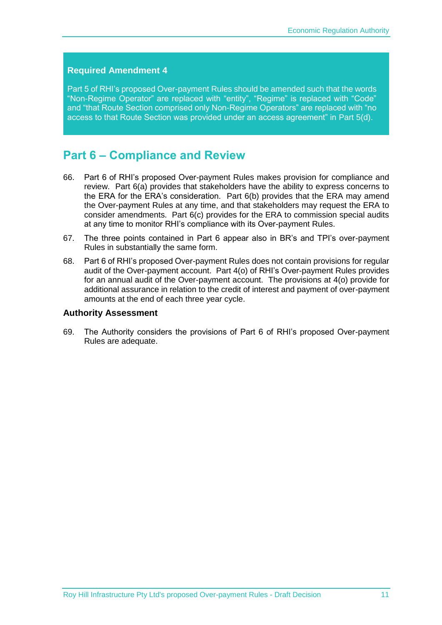<span id="page-13-2"></span><span id="page-13-1"></span>Part 5 of RHI's proposed Over-payment Rules should be amended such that the words "Non-Regime Operator" are replaced with "entity", "Regime" is replaced with "Code" and "that Route Section comprised only Non-Regime Operators" are replaced with "no access to that Route Section was provided under an access agreement" in Part 5(d).

### <span id="page-13-0"></span>**Part 6 – Compliance and Review**

- 66. Part 6 of RHI's proposed Over-payment Rules makes provision for compliance and review. Part 6(a) provides that stakeholders have the ability to express concerns to the ERA for the ERA's consideration. Part 6(b) provides that the ERA may amend the Over-payment Rules at any time, and that stakeholders may request the ERA to consider amendments. Part 6(c) provides for the ERA to commission special audits at any time to monitor RHI's compliance with its Over-payment Rules.
- 67. The three points contained in Part 6 appear also in BR's and TPI's over-payment Rules in substantially the same form.
- 68. Part 6 of RHI's proposed Over-payment Rules does not contain provisions for regular audit of the Over-payment account. Part 4(o) of RHI's Over-payment Rules provides for an annual audit of the Over-payment account. The provisions at 4(o) provide for additional assurance in relation to the credit of interest and payment of over-payment amounts at the end of each three year cycle.

#### **Authority Assessment**

69. The Authority considers the provisions of Part 6 of RHI's proposed Over-payment Rules are adequate.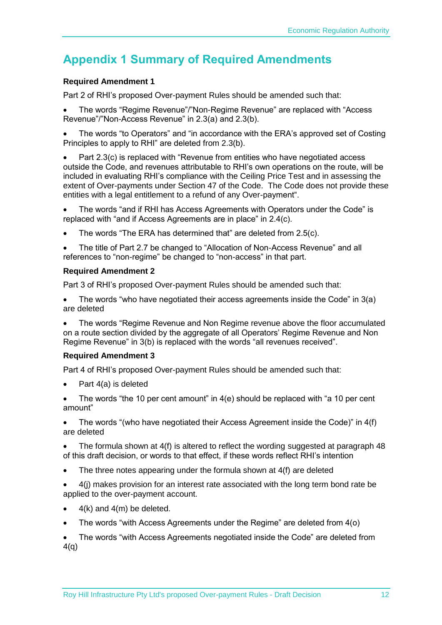## <span id="page-14-0"></span>**Appendix 1 Summary of Required Amendments**

#### **[Required Amendment 1](#page-8-1)**

[Part 2 of RHI's proposed Over-payment Rules should be amended such that:](#page-8-2)

 [The words "Regime Revenue"/"Non-Regime Revenue" are replaced with "Access](#page-8-3)  [Revenue"/"Non-Access Revenue" in 2.3\(a\) and 2.3\(b\).](#page-8-3)

 [The words "to Operators" and "in accordance with the ERA's approved set of Costing](#page-8-4)  [Principles to apply to RHI" are deleted from 2.3\(b\).](#page-8-4)

 [Part 2.3\(c\) is replaced with "Revenue from entities who have negotiated access](#page-8-5)  [outside the Code, and revenues attributable to RHI's own operations on the route, will be](#page-8-5)  [included in evaluating RHI's compliance with the Ceiling Price Test and in assessing the](#page-8-5)  [extent of Over-payments under Section 47 of the Code. The Code does not provide these](#page-8-5)  [entities with a legal entitlement to a refund of any Over-payment".](#page-8-5)

 The words "and if [RHI has Access Agreements with Operators under the Code" is](#page-8-6)  [replaced with "and if Access Agreements are in place" in 2.4\(c\).](#page-8-6)

[The words "The ERA has determined that" are deleted from 2.5\(c\).](#page-8-7)

 [The title of Part 2.7 be changed to "Allocation of Non-Access Revenue" and all](#page-8-8)  [references to "non-regime" be changed to "non-access" in that part.](#page-8-8)

#### **[Required Amendment 2](#page-9-2)**

[Part 3 of RHI's proposed Over-payment Rules should be amended such that:](#page-9-3)

 [The words "who have negotiated their access agreements inside the Code" in 3\(a\)](#page-9-4)  [are deleted](#page-9-4)

 [The words "Regime Revenue and Non Regime revenue above the floor accumulated](#page-9-5)  [on a route section divided by the aggregate of all Operators' Regime Revenue and Non](#page-9-5)  [Regime Revenue" in 3\(b\) is replaced with the words "all revenues received".](#page-9-5)

#### **[Required Amendment 3](#page-12-1)**

[Part 4 of RHI's proposed Over-payment Rules should be amended such that:](#page-12-2)

- [Part 4\(a\) is deleted](#page-12-3)
- [The words "the 10 per cent amount" in 4\(e\) should be replaced](#page-12-4) with "a 10 per cent [amount"](#page-12-4)

 [The words "\(who have negotiated their Access Agreement inside the Code\)" in 4\(f\)](#page-12-5)  [are deleted](#page-12-5)

 [The formula shown at 4\(f\) is altered to reflect the wording suggested at paragraph 48](#page-12-6)  [of this draft decision, or words to that effect, if these words reflect RHI's intention](#page-12-6)

- [The three notes appearing under the formula shown at 4\(f\) are deleted](#page-12-7)
- [4\(j\) makes provision for an interest rate associated with the long term bond rate be](#page-12-8)  [applied to the over-payment account.](#page-12-8)
- [4\(k\) and 4\(m\) be deleted.](#page-12-9)
- [The words "with Access Agreements under the Regime" are deleted from 4\(o\)](#page-12-10)

 [The words "with Access Agreements negotiated inside the Code" are deleted from](#page-12-11)   $4(q)$